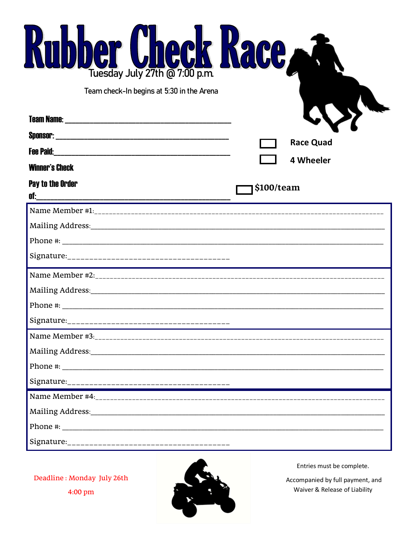| <b>Kubber Check Kace.</b><br>Tuesday July 27th @ 7:00 p.m. |            |                               |
|------------------------------------------------------------|------------|-------------------------------|
| Team check-In begins at 5:30 in the Arena                  |            | <b>Race Quad</b><br>4 Wheeler |
| <b>Winner's Check</b><br>Pay to the Order                  | \$100/team |                               |
|                                                            |            |                               |
|                                                            |            |                               |
|                                                            |            |                               |
|                                                            |            |                               |

Deadline: Monday July 26th  $4:00 \text{ pm}$ 



Entries must be complete.

Accompanied by full payment, and Waiver & Release of Liability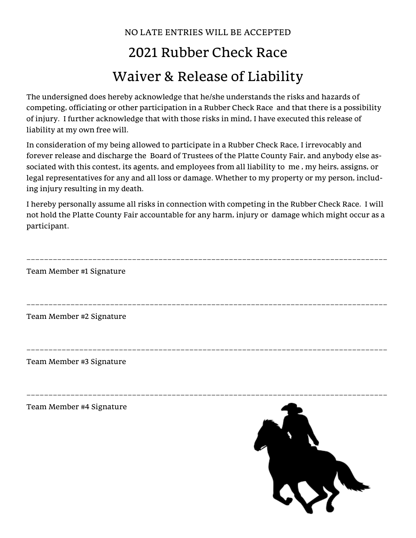## NO LATE ENTRIES WILL BE ACCEPTED 2021 Rubber Check Race Waiver & Release of Liability

The undersigned does hereby acknowledge that he/she understands the risks and hazards of competing, officiating or other participation in a Rubber Check Race and that there is a possibility of injury. I further acknowledge that with those risks in mind, I have executed this release of liability at my own free will.

In consideration of my being allowed to participate in a Rubber Check Race, I irrevocably and forever release and discharge the Board of Trustees of the Platte County Fair, and anybody else associated with this contest, its agents, and employees from all liability to me , my heirs, assigns, or legal representatives for any and all loss or damage. Whether to my property or my person, including injury resulting in my death.

I hereby personally assume all risks in connection with competing in the Rubber Check Race. I will not hold the Platte County Fair accountable for any harm, injury or damage which might occur as a participant.

| Team Member #1 Signature |  |
|--------------------------|--|
|                          |  |
|                          |  |
| Team Member #2 Signature |  |
|                          |  |
|                          |  |
| Team Member #3 Signature |  |
|                          |  |
|                          |  |
| Team Member #4 Signature |  |
|                          |  |
|                          |  |
|                          |  |

LON